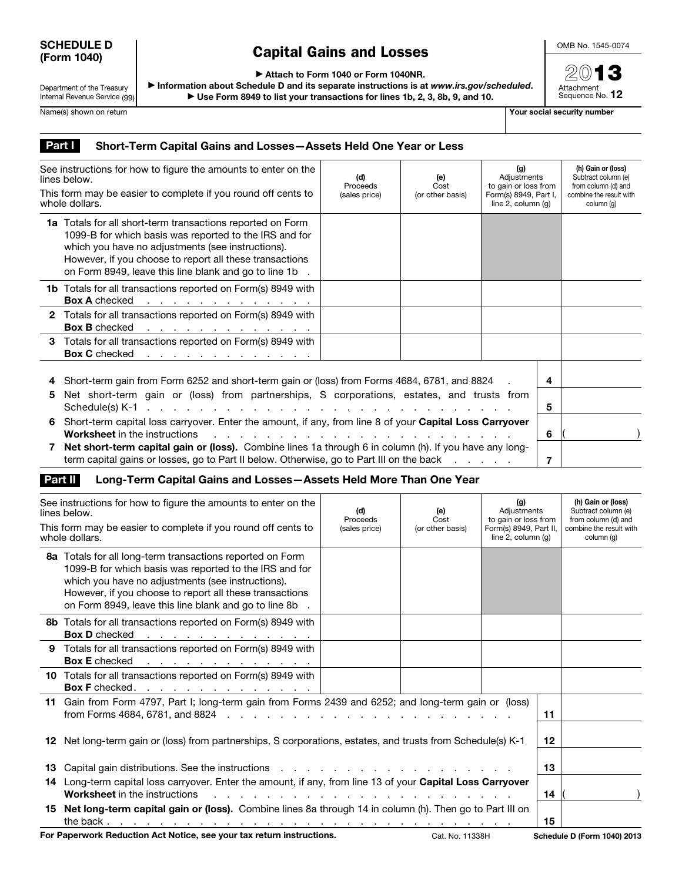## SCHEDULE D (Form 1040)

## Capital Gains and Losses

OMB No. 1545-0074

2013 Attachment<br>Sequence No. **12** 

▶ Attach to Form 1040 or Form 1040NR.

Department of the Treasury Internal Revenue Service (99)

▶ Information about Schedule D and its separate instructions is at *www.irs.gov/scheduled*. ▶ Use Form 8949 to list your transactions for lines 1b, 2, 3, 8b, 9, and 10.

Name(s) shown on return The Contract of the Contract of the Contract of The Contract of The Contract of The Contract of The Contract of The Contract of The Contract of The Contract of The Contract of The Contract of The Co

## Part | Short-Term Capital Gains and Losses-Assets Held One Year or Less

| See instructions for how to figure the amounts to enter on the<br>lines below.  |                                                                                                                                                                                                                                                                                                      | (d)<br>Proceeds | (e)<br>Cost      | (g)<br>Adjustments<br>to gain or loss from<br>Form(s) 8949, Part I,<br>line $2$ , column $(q)$ |        | (h) Gain or (loss)<br>Subtract column (e)<br>from column (d) and |
|---------------------------------------------------------------------------------|------------------------------------------------------------------------------------------------------------------------------------------------------------------------------------------------------------------------------------------------------------------------------------------------------|-----------------|------------------|------------------------------------------------------------------------------------------------|--------|------------------------------------------------------------------|
| This form may be easier to complete if you round off cents to<br>whole dollars. |                                                                                                                                                                                                                                                                                                      | (sales price)   | (or other basis) |                                                                                                |        | combine the result with<br>column (a)                            |
|                                                                                 | <b>1a</b> Totals for all short-term transactions reported on Form<br>1099-B for which basis was reported to the IRS and for<br>which you have no adjustments (see instructions).<br>However, if you choose to report all these transactions<br>on Form 8949, leave this line blank and go to line 1b |                 |                  |                                                                                                |        |                                                                  |
|                                                                                 | <b>1b</b> Totals for all transactions reported on Form(s) 8949 with<br><b>Box A</b> checked<br>the contract of the contract of the contract of                                                                                                                                                       |                 |                  |                                                                                                |        |                                                                  |
|                                                                                 | 2 Totals for all transactions reported on Form(s) 8949 with<br><b>Box B</b> checked<br>the contract of the contract of the contract of                                                                                                                                                               |                 |                  |                                                                                                |        |                                                                  |
|                                                                                 | 3 Totals for all transactions reported on Form(s) 8949 with<br>Box C checked response to the contract of the contract of the contract of the contract of the contract of the contract of the contract of the contract of the contract of the contract of the contract of the contract of the         |                 |                  |                                                                                                |        |                                                                  |
| 5                                                                               | Short-term gain from Form 6252 and short-term gain or (loss) from Forms 4684, 6781, and 8824<br>Net short-term gain or (loss) from partnerships, S corporations, estates, and trusts from                                                                                                            |                 |                  |                                                                                                |        |                                                                  |
| 6                                                                               | Schedule(s) K-1 $\ldots$ $\ldots$ $\ldots$ $\ldots$ $\ldots$ $\ldots$ $\ldots$ $\ldots$ $\ldots$ $\ldots$<br>Short-term capital loss carryover. Enter the amount, if any, from line 8 of your Capital Loss Carryover<br><b>Worksheet</b> in the instructions                                         |                 |                  |                                                                                                | 5<br>6 |                                                                  |
|                                                                                 | Net short-term capital gain or (loss). Combine lines 1a through 6 in column (h). If you have any long-<br>term capital gains or losses, go to Part II below. Otherwise, go to Part III on the back                                                                                                   |                 |                  |                                                                                                | 7      |                                                                  |

## Part II Long-Term Capital Gains and Losses-Assets Held More Than One Year

| See instructions for how to figure the amounts to enter on the<br>lines below.<br>This form may be easier to complete if you round off cents to<br>whole dollars. |                                                                                                                                                                                                                                                                                              | (d)<br>Proceeds<br>(sales price) | (e)<br>Cost<br>(or other basis) | (g)<br>Adjustments<br>to gain or loss from<br>Form(s) 8949, Part II,<br>line $2$ , column $(q)$ |    | (h) Gain or (loss)<br>Subtract column (e)<br>from column (d) and<br>combine the result with<br>column (q) |
|-------------------------------------------------------------------------------------------------------------------------------------------------------------------|----------------------------------------------------------------------------------------------------------------------------------------------------------------------------------------------------------------------------------------------------------------------------------------------|----------------------------------|---------------------------------|-------------------------------------------------------------------------------------------------|----|-----------------------------------------------------------------------------------------------------------|
|                                                                                                                                                                   | 8a Totals for all long-term transactions reported on Form<br>1099-B for which basis was reported to the IRS and for<br>which you have no adjustments (see instructions).<br>However, if you choose to report all these transactions<br>on Form 8949, leave this line blank and go to line 8b |                                  |                                 |                                                                                                 |    |                                                                                                           |
|                                                                                                                                                                   | 8b Totals for all transactions reported on Form(s) 8949 with<br><b>Box D</b> checked<br>the contract of the contract of the contract of                                                                                                                                                      |                                  |                                 |                                                                                                 |    |                                                                                                           |
|                                                                                                                                                                   | 9 Totals for all transactions reported on Form(s) 8949 with<br><b>Box E</b> checked<br>the contract of the contract of the contract of                                                                                                                                                       |                                  |                                 |                                                                                                 |    |                                                                                                           |
|                                                                                                                                                                   | 10 Totals for all transactions reported on Form(s) 8949 with<br>Box F checked. <u>.</u>                                                                                                                                                                                                      |                                  |                                 |                                                                                                 |    |                                                                                                           |
|                                                                                                                                                                   | 11 Gain from Form 4797, Part I; long-term gain from Forms 2439 and 6252; and long-term gain or (loss)                                                                                                                                                                                        |                                  |                                 |                                                                                                 | 11 |                                                                                                           |
|                                                                                                                                                                   | 12 Net long-term gain or (loss) from partnerships, S corporations, estates, and trusts from Schedule(s) K-1                                                                                                                                                                                  |                                  |                                 |                                                                                                 | 12 |                                                                                                           |
|                                                                                                                                                                   | 13 Capital gain distributions. See the instructions enter the contract of the capital scale of the seed of the instructions of the contract of the capital scale of the contract of the instruction of the contract of the con                                                               |                                  |                                 |                                                                                                 | 13 |                                                                                                           |
|                                                                                                                                                                   | 14 Long-term capital loss carryover. Enter the amount, if any, from line 13 of your Capital Loss Carryover<br><b>Worksheet</b> in the instructions                                                                                                                                           |                                  |                                 | 14                                                                                              |    |                                                                                                           |
|                                                                                                                                                                   | 15 Net long-term capital gain or (loss). Combine lines 8a through 14 in column (h). Then go to Part III on                                                                                                                                                                                   |                                  |                                 |                                                                                                 | 15 |                                                                                                           |